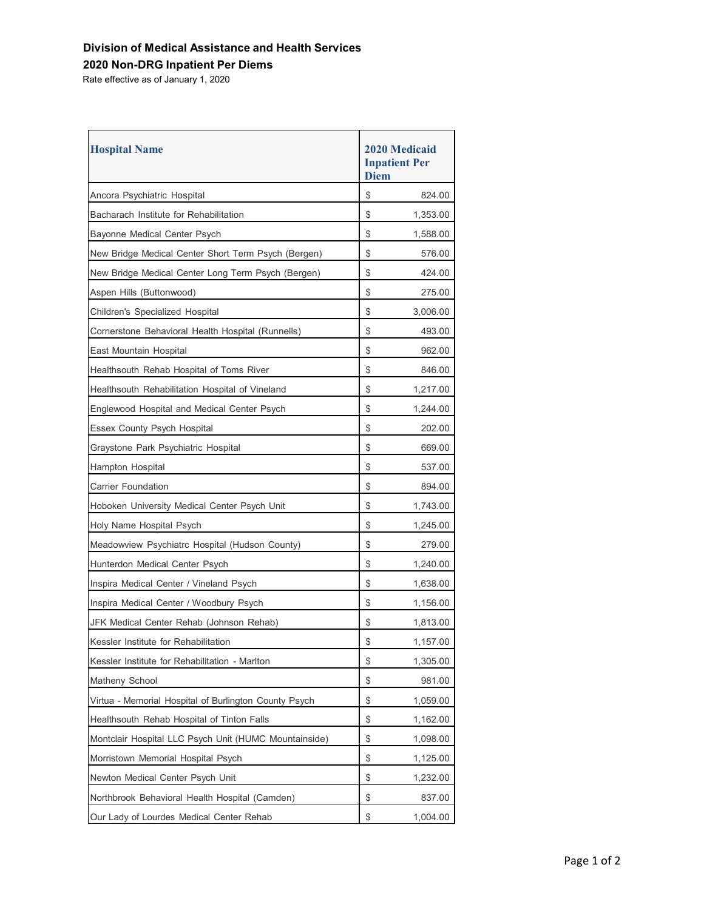## **Division of Medical Assistance and Health Services**

## **2020 Non-DRG Inpatient Per Diems**

Rate effective as of January 1, 2020

| <b>Hospital Name</b>                                  | <b>2020 Medicaid</b><br><b>Inpatient Per</b><br><b>Diem</b> |          |
|-------------------------------------------------------|-------------------------------------------------------------|----------|
| Ancora Psychiatric Hospital                           | \$                                                          | 824.00   |
| Bacharach Institute for Rehabilitation                | \$                                                          | 1,353.00 |
| Bayonne Medical Center Psych                          | \$                                                          | 1,588.00 |
| New Bridge Medical Center Short Term Psych (Bergen)   | \$                                                          | 576.00   |
| New Bridge Medical Center Long Term Psych (Bergen)    | \$                                                          | 424.00   |
| Aspen Hills (Buttonwood)                              | \$                                                          | 275.00   |
| Children's Specialized Hospital                       | \$                                                          | 3,006.00 |
| Cornerstone Behavioral Health Hospital (Runnells)     | \$                                                          | 493.00   |
| East Mountain Hospital                                | \$                                                          | 962.00   |
| Healthsouth Rehab Hospital of Toms River              | \$                                                          | 846.00   |
| Healthsouth Rehabilitation Hospital of Vineland       | \$                                                          | 1,217.00 |
| Englewood Hospital and Medical Center Psych           | \$                                                          | 1,244.00 |
| <b>Essex County Psych Hospital</b>                    | \$                                                          | 202.00   |
| Graystone Park Psychiatric Hospital                   | \$                                                          | 669.00   |
| Hampton Hospital                                      | \$                                                          | 537.00   |
| Carrier Foundation                                    | \$                                                          | 894.00   |
| Hoboken University Medical Center Psych Unit          | \$                                                          | 1,743.00 |
| Holy Name Hospital Psych                              | \$                                                          | 1,245.00 |
| Meadowview Psychiatrc Hospital (Hudson County)        | \$                                                          | 279.00   |
| Hunterdon Medical Center Psych                        | \$                                                          | 1,240.00 |
| Inspira Medical Center / Vineland Psych               | \$                                                          | 1,638.00 |
| Inspira Medical Center / Woodbury Psych               | \$                                                          | 1,156.00 |
| JFK Medical Center Rehab (Johnson Rehab)              | \$                                                          | 1,813.00 |
| Kessler Institute for Rehabilitation                  | \$                                                          | 1,157.00 |
| Kessler Institute for Rehabilitation - Marlton        | \$                                                          | 1,305.00 |
| Matheny School                                        | \$                                                          | 981.00   |
| Virtua - Memorial Hospital of Burlington County Psych | \$                                                          | 1,059.00 |
| Healthsouth Rehab Hospital of Tinton Falls            | \$                                                          | 1,162.00 |
| Montclair Hospital LLC Psych Unit (HUMC Mountainside) | \$                                                          | 1,098.00 |
| Morristown Memorial Hospital Psych                    | \$                                                          | 1,125.00 |
| Newton Medical Center Psych Unit                      | \$                                                          | 1,232.00 |
| Northbrook Behavioral Health Hospital (Camden)        | \$                                                          | 837.00   |
| Our Lady of Lourdes Medical Center Rehab              | \$                                                          | 1,004.00 |